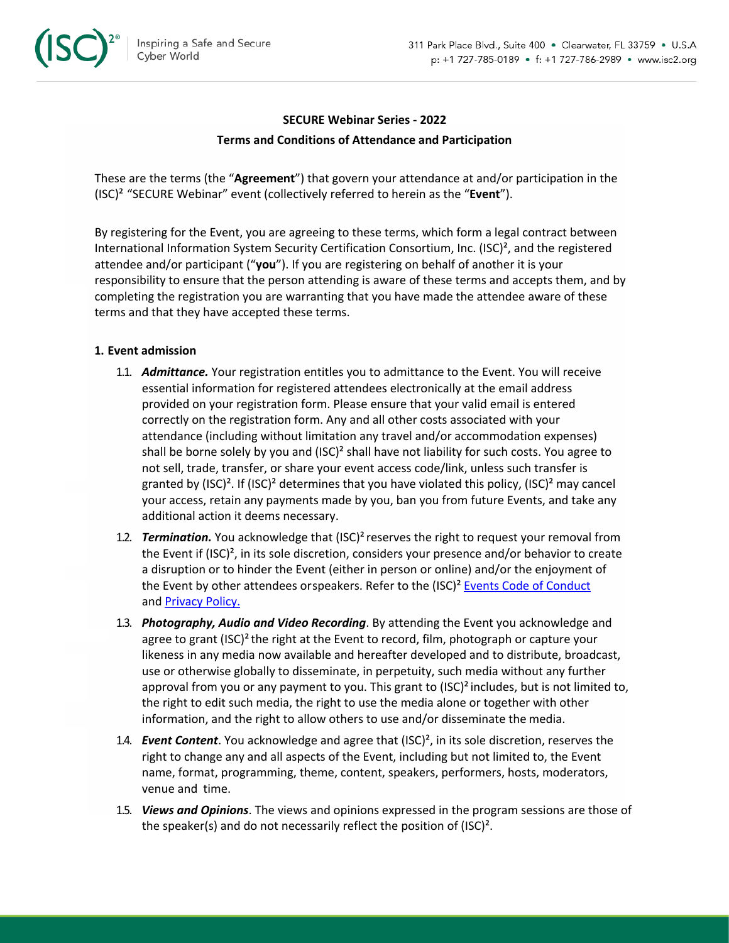

### **SECURE Webinar Series - 2022**

### **Terms and Conditions of Attendance and Participation**

These are the terms (the "**Agreement**") that govern your attendance at and/or participation in the (ISC)² "SECURE Webinar" event (collectively referred to herein as the "**Event**").

By registering for the Event, you are agreeing to these terms, which form a legal contract between International Information System Security Certification Consortium, Inc. (ISC)², and the registered attendee and/or participant ("**you**"). If you are registering on behalf of another it is your responsibility to ensure that the person attending is aware of these terms and accepts them, and by completing the registration you are warranting that you have made the attendee aware of these terms and that they have accepted these terms.

### **1. Event admission**

- 1.1. *Admittance.* Your registration entitles you to admittance to the Event. You will receive essential information for registered attendees electronically at the email address provided on your registration form. Please ensure that your valid email is entered correctly on the registration form. Any and all other costs associated with your attendance (including without limitation any travel and/or accommodation expenses) shall be borne solely by you and  $(ISC)^2$  shall have not liability for such costs. You agree to not sell, trade, transfer, or share your event access code/link, unless such transfer is granted by  $(ISC)^2$ . If  $(ISC)^2$  determines that you have violated this policy,  $(ISC)^2$  may cancel your access, retain any payments made by you, ban you from future Events, and take any additional action it deems necessary.
- 1.2. *Termination.* You acknowledge that (ISC)²reserves the right to request your removal from the Event if (ISC)², in its sole discretion, considers your presence and/or behavior to create a disruption or to hinder the Event (either in person or online) and/or the enjoyment of the Event by other attendees orspeakers. Refer to the (ISC)<sup>2</sup> Events Code of Conduct and Privacy Policy.
- 1.3. *Photography, Audio and Video Recording*. By attending the Event you acknowledge and agree to grant  $(ISC)^2$  the right at the Event to record, film, photograph or capture your likeness in any media now available and hereafter developed and to distribute, broadcast, use or otherwise globally to disseminate, in perpetuity, such media without any further approval from you or any payment to you. This grant to  $(ISC)^2$  includes, but is not limited to, the right to edit such media, the right to use the media alone or together with other information, and the right to allow others to use and/or disseminate the media.
- 1.4. *Event Content*. You acknowledge and agree that (ISC)², in its sole discretion, reserves the right to change any and all aspects of the Event, including but not limited to, the Event name, format, programming, theme, content, speakers, performers, hosts, moderators, venue and time.
- 1.5. *Views and Opinions*. The views and opinions expressed in the program sessions are those of the speaker(s) and do not necessarily reflect the position of (ISC)².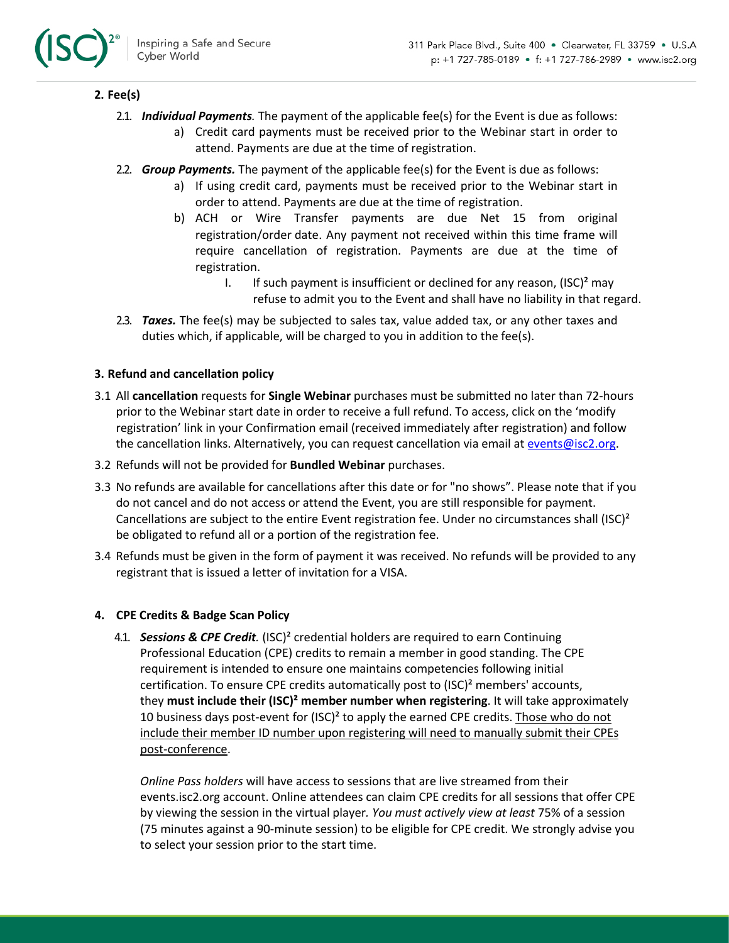

## **2. Fee(s)**

- 2.1. *Individual Payments.* The payment of the applicable fee(s) for the Event is due as follows:
	- a) Credit card payments must be received prior to the Webinar start in order to attend. Payments are due at the time of registration.
- 2.2. *Group Payments.* The payment of the applicable fee(s) for the Event is due as follows:
	- a) If using credit card, payments must be received prior to the Webinar start in order to attend. Payments are due at the time of registration.
	- b) ACH or Wire Transfer payments are due Net 15 from original registration/order date. Any payment not received within this time frame will require cancellation of registration. Payments are due at the time of registration.
		- I. If such payment is insufficient or declined for any reason,  $(ISC)^2$  may refuse to admit you to the Event and shall have no liability in that regard.
- 2.3. *Taxes.* The fee(s) may be subjected to sales tax, value added tax, or any other taxes and duties which, if applicable, will be charged to you in addition to the fee(s).

## **3. Refund and cancellation policy**

- 3.1 All **cancellation** requests for **Single Webinar** purchases must be submitted no later than 72-hours prior to the Webinar start date in order to receive a full refund. To access, click on the 'modify registration' link in your Confirmation email (received immediately after registration) and follow the cancellation links. Alternatively, you can request cancellation via email at events@isc2.org.
- 3.2 Refunds will not be provided for **Bundled Webinar** purchases.
- 3.3 No refunds are available for cancellations after this date or for "no shows". Please note that if you do not cancel and do not access or attend the Event, you are still responsible for payment. Cancellations are subject to the entire Event registration fee. Under no circumstances shall  $(ISC)^2$ be obligated to refund all or a portion of the registration fee.
- 3.4 Refunds must be given in the form of payment it was received. No refunds will be provided to any registrant that is issued a letter of invitation for a VISA.

# **4. CPE Credits & Badge Scan Policy**

4.1. *Sessions & CPE Credit.* (ISC)² credential holders are required to earn Continuing Professional Education (CPE) credits to remain a member in good standing. The CPE requirement is intended to ensure one maintains competencies following initial certification. To ensure CPE credits automatically post to  $(ISC)^2$  members' accounts, they **must include their (ISC)² member number when registering**. It will take approximately 10 business days post-event for (ISC)<sup>2</sup> to apply the earned CPE credits. Those who do not include their member ID number upon registering will need to manually submit their CPEs post-conference.

*Online Pass holders* will have access to sessions that are live streamed from their events.isc2.org account. Online attendees can claim CPE credits for all sessions that offer CPE by viewing the session in the virtual player*. You must actively view at least* 75% of a session (75 minutes against a 90-minute session) to be eligible for CPE credit. We strongly advise you to select your session prior to the start time.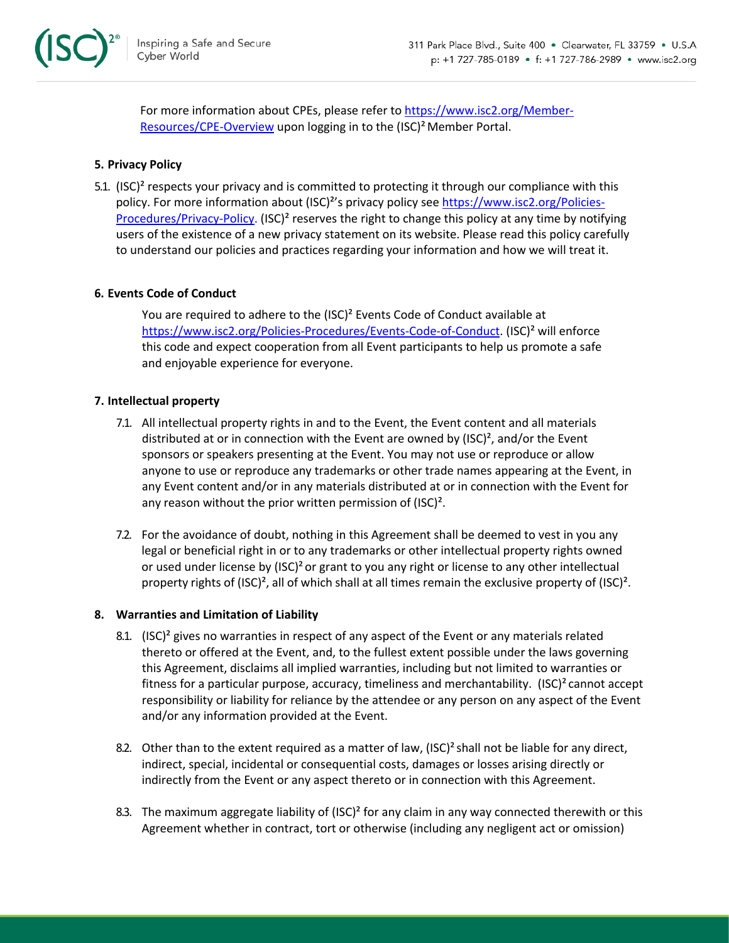

For more information about CPEs, please refer to https://www.isc2.org/Member-Resources/CPE-Overview upon logging in to the (ISC)<sup>2</sup> Member Portal.

## **5. Privacy Policy**

5.1. (ISC)² respects your privacy and is committed to protecting it through our compliance with this policy. For more information about (ISC)²'s privacy policy see https://www.isc2.org/Policies-Procedures/Privacy-Policy. (ISC)² reserves the right to change this policy at any time by notifying users of the existence of a new privacy statement on its website. Please read this policy carefully to understand our policies and practices regarding your information and how we will treat it.

### **6. Events Code of Conduct**

You are required to adhere to the (ISC)<sup>2</sup> Events Code of Conduct available at https://www.isc2.org/Policies-Procedures/Events-Code-of-Conduct. (ISC)² will enforce this code and expect cooperation from all Event participants to help us promote a safe and enjoyable experience for everyone.

#### **7. Intellectual property**

- 7.1. All intellectual property rights in and to the Event, the Event content and all materials distributed at or in connection with the Event are owned by  $(ISC)^2$ , and/or the Event sponsors or speakers presenting at the Event. You may not use or reproduce or allow anyone to use or reproduce any trademarks or other trade names appearing at the Event, in any Event content and/or in any materials distributed at or in connection with the Event for any reason without the prior written permission of (ISC)².
- 7.2. For the avoidance of doubt, nothing in this Agreement shall be deemed to vest in you any legal or beneficial right in or to any trademarks or other intellectual property rights owned or used under license by (ISC)² or grant to you any right or license to any other intellectual property rights of (ISC)², all of which shall at all times remain the exclusive property of (ISC)².

#### **8. Warranties and Limitation of Liability**

- 8.1.  $(ISC)^2$  gives no warranties in respect of any aspect of the Event or any materials related thereto or offered at the Event, and, to the fullest extent possible under the laws governing this Agreement, disclaims all implied warranties, including but not limited to warranties or fitness for a particular purpose, accuracy, timeliness and merchantability. (ISC)² cannot accept responsibility or liability for reliance by the attendee or any person on any aspect of the Event and/or any information provided at the Event.
- 8.2. Other than to the extent required as a matter of law,  $(ISC)^2$  shall not be liable for any direct, indirect, special, incidental or consequential costs, damages or losses arising directly or indirectly from the Event or any aspect thereto or in connection with this Agreement.
- 8.3. The maximum aggregate liability of  $(ISC)^2$  for any claim in any way connected therewith or this Agreement whether in contract, tort or otherwise (including any negligent act or omission)